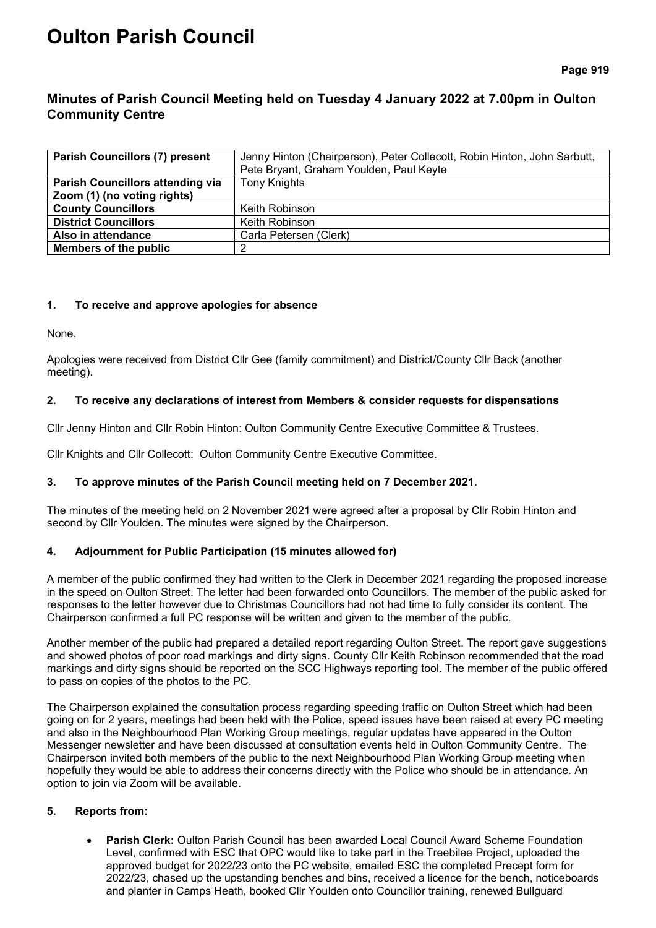# **Oulton Parish Council**

**Page 919**

## **Minutes of Parish Council Meeting held on Tuesday 4 January 2022 at 7.00pm in Oulton Community Centre**

| <b>Parish Councillors (7) present</b>   | Jenny Hinton (Chairperson), Peter Collecott, Robin Hinton, John Sarbutt, |  |
|-----------------------------------------|--------------------------------------------------------------------------|--|
|                                         | Pete Bryant, Graham Youlden, Paul Keyte                                  |  |
| <b>Parish Councillors attending via</b> | <b>Tony Knights</b>                                                      |  |
| Zoom (1) (no voting rights)             |                                                                          |  |
| <b>County Councillors</b>               | Keith Robinson                                                           |  |
| <b>District Councillors</b>             | Keith Robinson                                                           |  |
| Also in attendance                      | Carla Petersen (Clerk)                                                   |  |
| Members of the public                   |                                                                          |  |

## **1. To receive and approve apologies for absence**

None.

Apologies were received from District Cllr Gee (family commitment) and District/County Cllr Back (another meeting).

## **2. To receive any declarations of interest from Members & consider requests for dispensations**

Cllr Jenny Hinton and Cllr Robin Hinton: Oulton Community Centre Executive Committee & Trustees.

Cllr Knights and Cllr Collecott: Oulton Community Centre Executive Committee.

## **3. To approve minutes of the Parish Council meeting held on 7 December 2021.**

The minutes of the meeting held on 2 November 2021 were agreed after a proposal by Cllr Robin Hinton and second by Cllr Youlden. The minutes were signed by the Chairperson.

## **4. Adjournment for Public Participation (15 minutes allowed for)**

A member of the public confirmed they had written to the Clerk in December 2021 regarding the proposed increase in the speed on Oulton Street. The letter had been forwarded onto Councillors. The member of the public asked for responses to the letter however due to Christmas Councillors had not had time to fully consider its content. The Chairperson confirmed a full PC response will be written and given to the member of the public.

Another member of the public had prepared a detailed report regarding Oulton Street. The report gave suggestions and showed photos of poor road markings and dirty signs. County Cllr Keith Robinson recommended that the road markings and dirty signs should be reported on the SCC Highways reporting tool. The member of the public offered to pass on copies of the photos to the PC.

The Chairperson explained the consultation process regarding speeding traffic on Oulton Street which had been going on for 2 years, meetings had been held with the Police, speed issues have been raised at every PC meeting and also in the Neighbourhood Plan Working Group meetings, regular updates have appeared in the Oulton Messenger newsletter and have been discussed at consultation events held in Oulton Community Centre. The Chairperson invited both members of the public to the next Neighbourhood Plan Working Group meeting when hopefully they would be able to address their concerns directly with the Police who should be in attendance. An option to join via Zoom will be available.

## **5. Reports from:**

• **Parish Clerk:** Oulton Parish Council has been awarded Local Council Award Scheme Foundation Level, confirmed with ESC that OPC would like to take part in the Treebilee Project, uploaded the approved budget for 2022/23 onto the PC website, emailed ESC the completed Precept form for 2022/23, chased up the upstanding benches and bins, received a licence for the bench, noticeboards and planter in Camps Heath, booked Cllr Youlden onto Councillor training, renewed Bullguard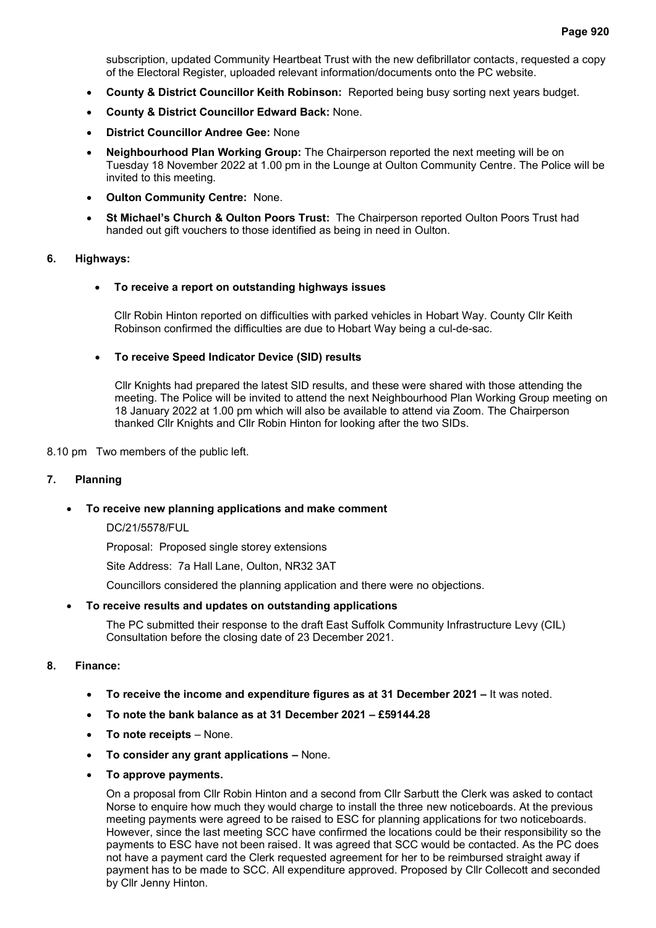subscription, updated Community Heartbeat Trust with the new defibrillator contacts, requested a copy of the Electoral Register, uploaded relevant information/documents onto the PC website.

- **County & District Councillor Keith Robinson:** Reported being busy sorting next years budget.
- **County & District Councillor Edward Back:** None.
- **District Councillor Andree Gee:** None
- **Neighbourhood Plan Working Group:** The Chairperson reported the next meeting will be on Tuesday 18 November 2022 at 1.00 pm in the Lounge at Oulton Community Centre. The Police will be invited to this meeting.
- **Oulton Community Centre:** None.
- **St Michael's Church & Oulton Poors Trust:** The Chairperson reported Oulton Poors Trust had handed out gift vouchers to those identified as being in need in Oulton.

#### **6. Highways:**

#### • **To receive a report on outstanding highways issues**

Cllr Robin Hinton reported on difficulties with parked vehicles in Hobart Way. County Cllr Keith Robinson confirmed the difficulties are due to Hobart Way being a cul-de-sac.

#### • **To receive Speed Indicator Device (SID) results**

Cllr Knights had prepared the latest SID results, and these were shared with those attending the meeting. The Police will be invited to attend the next Neighbourhood Plan Working Group meeting on 18 January 2022 at 1.00 pm which will also be available to attend via Zoom. The Chairperson thanked Cllr Knights and Cllr Robin Hinton for looking after the two SIDs.

8.10 pm Two members of the public left.

#### **7. Planning**

#### • **To receive new planning applications and make comment**

DC/21/5578/FUL

Proposal: Proposed single storey extensions

Site Address: 7a Hall Lane, Oulton, NR32 3AT

Councillors considered the planning application and there were no objections.

#### • **To receive results and updates on outstanding applications**

The PC submitted their response to the draft East Suffolk Community Infrastructure Levy (CIL) Consultation before the closing date of 23 December 2021.

#### **8. Finance:**

- **To receive the income and expenditure figures as at 31 December 2021 –** It was noted.
- **To note the bank balance as at 31 December 2021 – £59144.28**
- **To note receipts** None.
- **To consider any grant applications –** None.
- **To approve payments.**

On a proposal from Cllr Robin Hinton and a second from Cllr Sarbutt the Clerk was asked to contact Norse to enquire how much they would charge to install the three new noticeboards. At the previous meeting payments were agreed to be raised to ESC for planning applications for two noticeboards. However, since the last meeting SCC have confirmed the locations could be their responsibility so the payments to ESC have not been raised. It was agreed that SCC would be contacted. As the PC does not have a payment card the Clerk requested agreement for her to be reimbursed straight away if payment has to be made to SCC. All expenditure approved. Proposed by Cllr Collecott and seconded by Cllr Jenny Hinton.